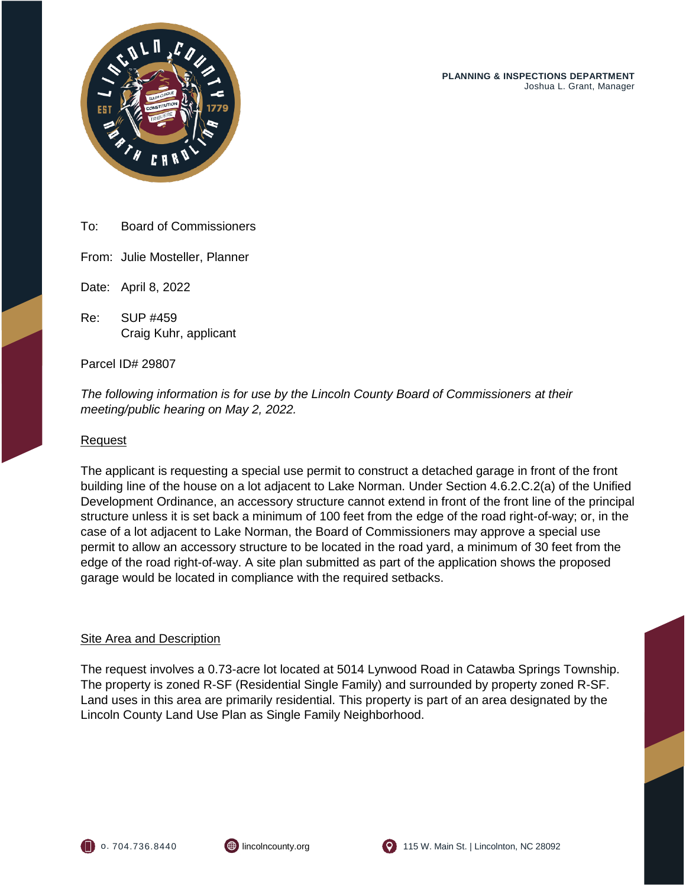

To: Board of Commissioners

From: Julie Mosteller, Planner

Date: April 8, 2022

Re: SUP #459 Craig Kuhr, applicant

Parcel ID# 29807

*The following information is for use by the Lincoln County Board of Commissioners at their meeting/public hearing on May 2, 2022.*

## Request

The applicant is requesting a special use permit to construct a detached garage in front of the front building line of the house on a lot adjacent to Lake Norman. Under Section 4.6.2.C.2(a) of the Unified Development Ordinance, an accessory structure cannot extend in front of the front line of the principal structure unless it is set back a minimum of 100 feet from the edge of the road right-of-way; or, in the case of a lot adjacent to Lake Norman, the Board of Commissioners may approve a special use permit to allow an accessory structure to be located in the road yard, a minimum of 30 feet from the edge of the road right-of-way. A site plan submitted as part of the application shows the proposed garage would be located in compliance with the required setbacks.

## **Site Area and Description**

The request involves a 0.73-acre lot located at 5014 Lynwood Road in Catawba Springs Township. The property is zoned R-SF (Residential Single Family) and surrounded by property zoned R-SF. Land uses in this area are primarily residential. This property is part of an area designated by the Lincoln County Land Use Plan as Single Family Neighborhood.





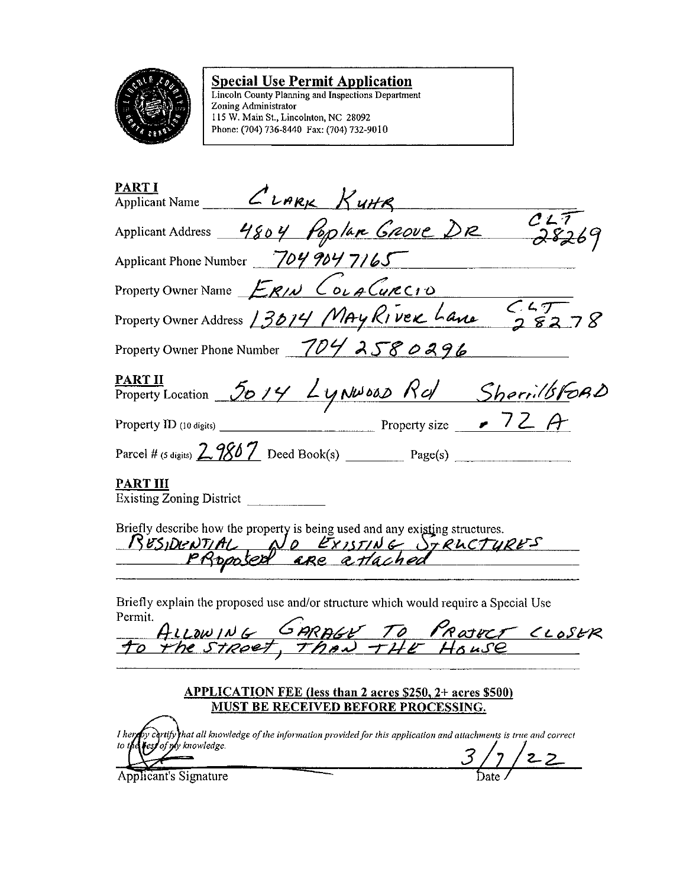

**Special Use Permit Application**<br>Lincoln County Planning and Inspections Department<br>Zoning Administrator<br>115 W. Main St., Lincolnton, NC 28092<br>Phone: (704) 736-8440 Fax: (704) 732-9010

| <b>PART I</b><br>Applicant Name $\mathcal{L}_{L$ ARK $K$ uHR                                                                                             |
|----------------------------------------------------------------------------------------------------------------------------------------------------------|
| Applicant Address 4804 Poplan GROVE DR 28269                                                                                                             |
| Applicant Phone Number 7049047165                                                                                                                        |
| Property Owner Name ERIN COLA CURCIO                                                                                                                     |
| Property Owner Address 13014 MAY RIVEK Lane 56278                                                                                                        |
| Property Owner Phone Number 704 2580296                                                                                                                  |
| <b>PART II</b><br>Property Location 5014 Lynwood Rd Sherilbroad                                                                                          |
|                                                                                                                                                          |
| Parcel # (5 digits) $2.9867$ Deed Book(s) Page(s)                                                                                                        |
| PART III<br><b>Existing Zoning District</b>                                                                                                              |
| Briefly describe how the property is being used and any existing structures.<br>RESIDENTIAL NO EXISTING STRUCTURES                                       |
| Briefly explain the proposed use and/or structure which would require a Special Use<br>Permit.<br>Femm.<br>ALLOWING GARAGE TO PROJECT CLOSER             |
| <b>APPLICATION FEE (less than 2 acres \$250, 2+ acres \$500)</b><br><u>MUST BE RECEIVED BEFORE PROCESSING.</u>                                           |
| I herply certify that all knowledge of the information provided for this application and attachments is true and correct<br>to the rest of my knowledge. |

Applicant's Signature

 $\frac{1}{2}$  /22  $\overline{\mathcal{Z}}$ Date .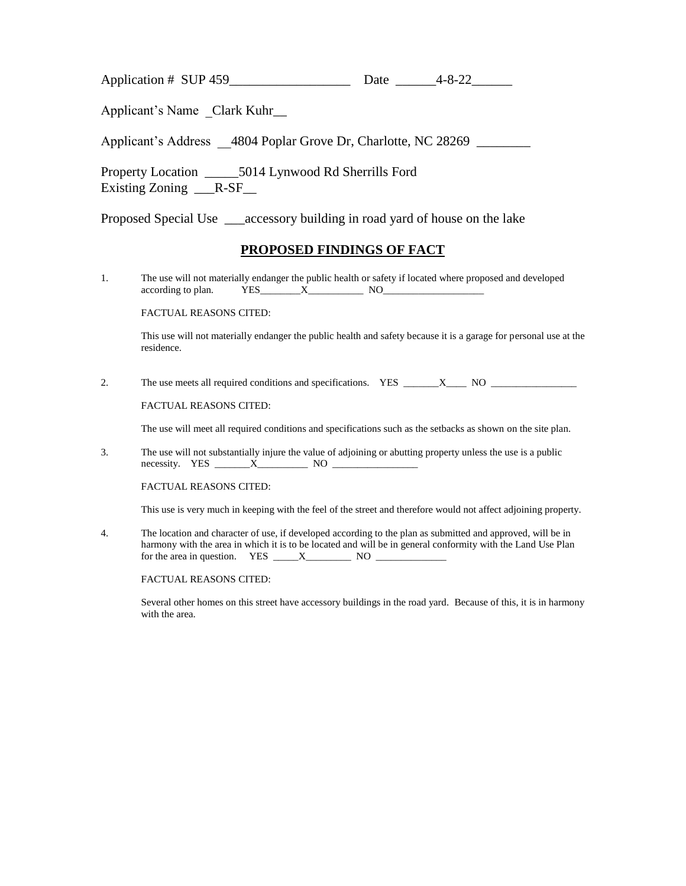Application # SUP 459\_\_\_\_\_\_\_\_\_\_\_\_\_\_\_\_\_\_ Date \_\_\_\_\_\_4-8-22\_\_\_\_\_\_

Applicant's Name Clark Kuhr\_\_

Applicant's Address 4804 Poplar Grove Dr, Charlotte, NC 28269 \_\_\_\_\_\_\_\_

Property Location \_\_\_\_\_5014 Lynwood Rd Sherrills Ford Existing Zoning \_\_\_R-SF\_\_

Proposed Special Use \_\_\_accessory building in road yard of house on the lake

# **PROPOSED FINDINGS OF FACT**

1. The use will not materially endanger the public health or safety if located where proposed and developed according to plan. YES\_\_\_\_\_\_\_\_X\_\_\_\_\_\_\_\_\_\_\_ NO\_\_\_\_\_\_\_\_\_\_\_\_\_\_\_\_\_\_\_\_

FACTUAL REASONS CITED:

This use will not materially endanger the public health and safety because it is a garage for personal use at the residence.

2. The use meets all required conditions and specifications. YES \_\_\_\_\_\_\_X\_\_\_\_ NO \_\_\_\_\_\_\_\_\_\_\_\_\_\_\_\_\_

FACTUAL REASONS CITED:

The use will meet all required conditions and specifications such as the setbacks as shown on the site plan.

3. The use will not substantially injure the value of adjoining or abutting property unless the use is a public necessity. YES \_\_\_\_\_\_\_X\_\_\_\_\_\_\_\_\_\_ NO \_\_\_\_\_\_\_\_\_\_\_\_\_\_\_\_\_

FACTUAL REASONS CITED:

This use is very much in keeping with the feel of the street and therefore would not affect adjoining property.

4. The location and character of use, if developed according to the plan as submitted and approved, will be in harmony with the area in which it is to be located and will be in general conformity with the Land Use Plan for the area in question. YES  $\frac{X}{X}$  NO  $\frac{X}{X}$ 

FACTUAL REASONS CITED:

Several other homes on this street have accessory buildings in the road yard. Because of this, it is in harmony with the area.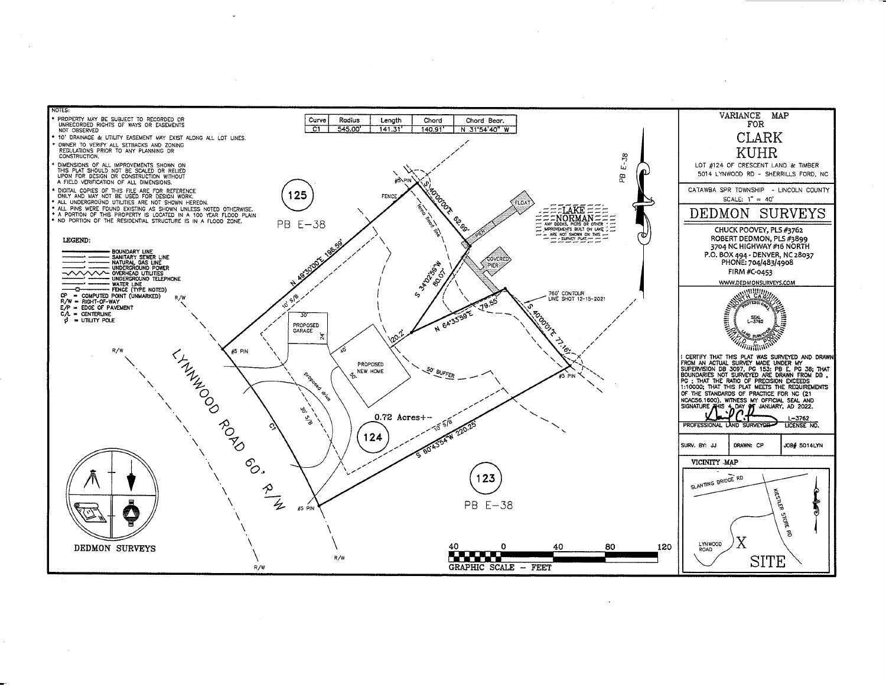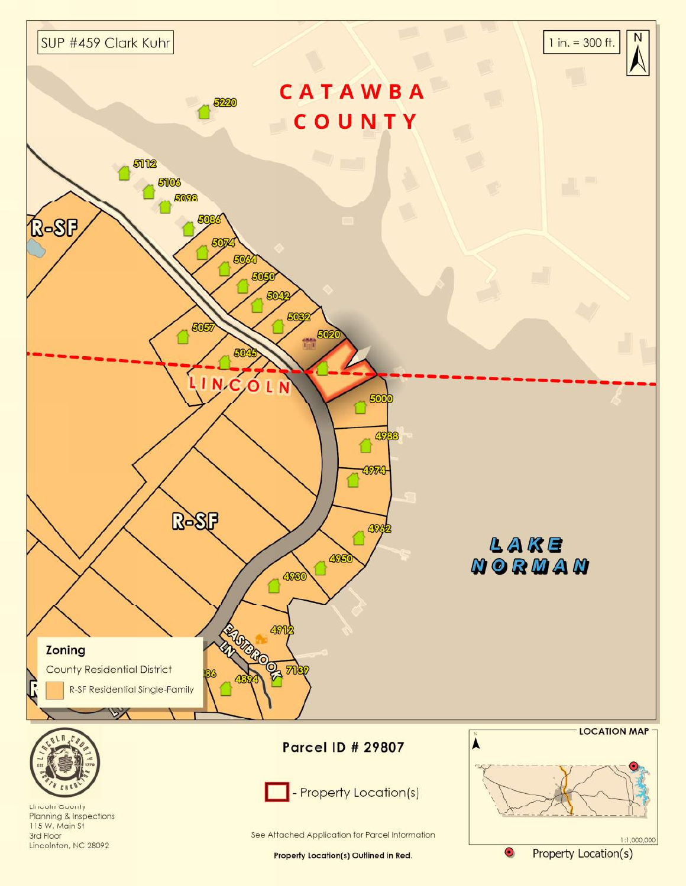